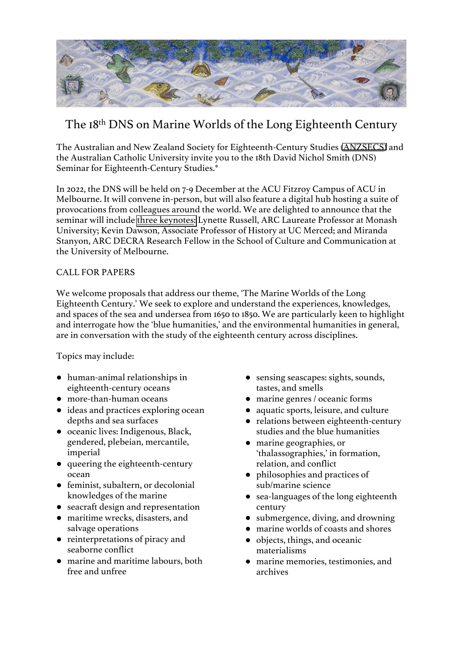

## The 18th DNS on Marine Worlds of the Long Eighteenth Century

The Australian and New Zealand Society for Eighteenth-Century Studies [\(ANZSECS\)](https://anzsecs.wordpress.com) and the Australian Catholic University invite you to the 18th David Nichol Smith (DNS) Seminar for Eighteenth-Century Studies.\*

In 2022, the DNS will be held on 7-9 December at the ACU Fitzroy Campus of ACU in Melbourne. It will convene in-person, but will also feature a digital hub hosting a suite of provocations from colleagues around the world. We are delighted to announce that the seminar will include [three keynotes:](https://dnsxviii2022.org/keynotes/) Lynette Russell, ARC Laureate Professor at Monash University; Kevin Dawson, Associate Professor of History at UC Merced; and Miranda Stanyon, ARC DECRA Research Fellow in the School of Culture and Communication at the University of Melbourne.

## CALL FOR PAPERS

We welcome proposals that address our theme, 'The Marine Worlds of the Long Eighteenth Century.' We seek to explore and understand the experiences, knowledges, and spaces of the sea and undersea from 1650 to 1850. We are particularly keen to highlight and interrogate how the 'blue humanities,' and the environmental humanities in general, are in conversation with the study of the eighteenth century across disciplines.

Topics may include:

- human-animal relationships in eighteenth-century oceans
- more-than-human oceans
- ideas and practices exploring ocean depths and sea surfaces
- oceanic lives: Indigenous, Black, gendered, plebeian, mercantile, imperial
- queering the eighteenth-century ocean
- feminist, subaltern, or decolonial knowledges of the marine
- seacraft design and representation
- maritime wrecks, disasters, and salvage operations
- reinterpretations of piracy and seaborne conflict
- marine and maritime labours, both free and unfree
- sensing seascapes: sights, sounds, tastes, and smells
- marine genres / oceanic forms
- aquatic sports, leisure, and culture
- relations between eighteenth-century studies and the blue humanities
- marine geographies, or 'thalassographies,' in formation, relation, and conflict
- philosophies and practices of sub/marine science
- sea-languages of the long eighteenth century
- submergence, diving, and drowning
- marine worlds of coasts and shores
- objects, things, and oceanic materialisms
- marine memories, testimonies, and archives